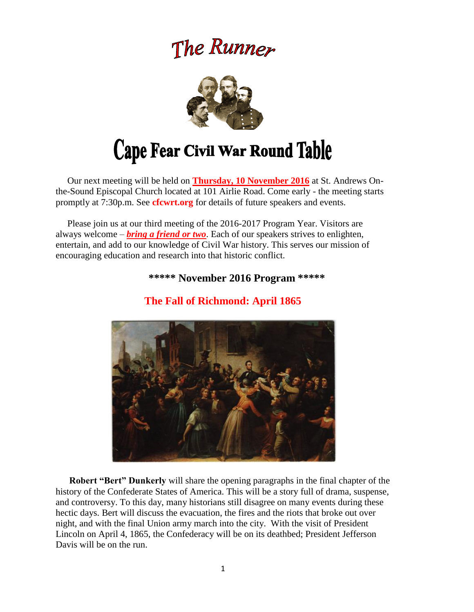# The Runner



# Cape Fear Civil War Round Table

 Our next meeting will be held on **Thursday, 10 November 2016** at St. Andrews Onthe-Sound Episcopal Church located at 101 Airlie Road. Come early - the meeting starts promptly at 7:30p.m. See **cfcwrt.org** for details of future speakers and events.

 Please join us at our third meeting of the 2016-2017 Program Year. Visitors are always welcome – *bring a friend or two*. Each of our speakers strives to enlighten, entertain, and add to our knowledge of Civil War history. This serves our mission of encouraging education and research into that historic conflict.

### **\*\*\*\*\* November 2016 Program \*\*\*\*\***



# **The Fall of Richmond: April 1865**

 **Robert "Bert" Dunkerly** will share the opening paragraphs in the final chapter of the history of the Confederate States of America. This will be a story full of drama, suspense, and controversy. To this day, many historians still disagree on many events during these hectic days. Bert will discuss the evacuation, the fires and the riots that broke out over night, and with the final Union army march into the city. With the visit of President Lincoln on April 4, 1865, the Confederacy will be on its deathbed; President Jefferson Davis will be on the run.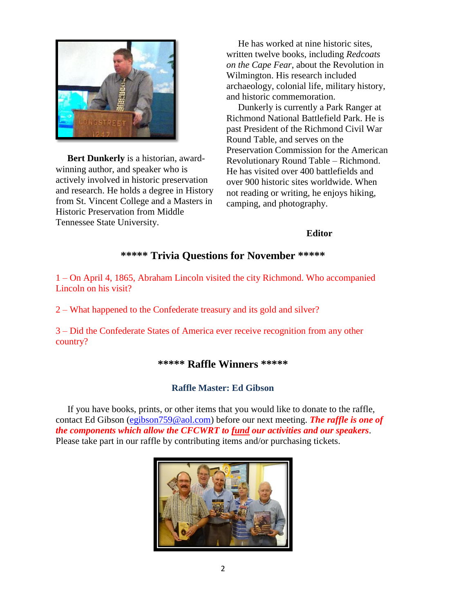

 **Bert Dunkerly** is a historian, awardwinning author, and speaker who is actively involved in historic preservation and research. He holds a degree in History from St. Vincent College and a Masters in Historic Preservation from Middle Tennessee State University.

 He has worked at nine historic sites, written twelve books, including *Redcoats on the Cape Fear*, about the Revolution in Wilmington. His research included archaeology, colonial life, military history, and historic commemoration.

Dunkerly is currently a Park Ranger at Richmond National Battlefield Park. He is past President of the Richmond Civil War Round Table, and serves on the Preservation Commission for the American Revolutionary Round Table – Richmond. He has visited over 400 battlefields and over 900 historic sites worldwide. When not reading or writing, he enjoys hiking, camping, and photography.

#### **Editor**

#### **\*\*\*\*\* Trivia Questions for November \*\*\*\*\***

1 – On April 4, 1865, Abraham Lincoln visited the city Richmond. Who accompanied Lincoln on his visit?

2 – What happened to the Confederate treasury and its gold and silver?

3 – Did the Confederate States of America ever receive recognition from any other country?

#### **\*\*\*\*\* Raffle Winners \*\*\*\*\***

#### **Raffle Master: Ed Gibson**

If you have books, prints, or other items that you would like to donate to the raffle, contact Ed Gibson [\(egibson759@aol.com\)](mailto:egibson759@aol.com) before our next meeting. *The raffle is one of the components which allow the CFCWRT to fund our activities and our speakers*. Please take part in our raffle by contributing items and/or purchasing tickets.

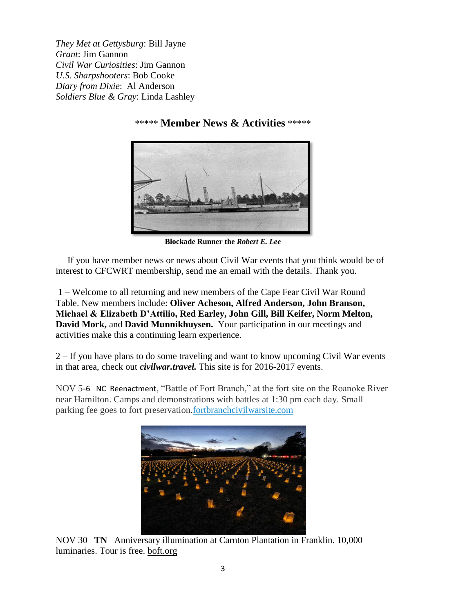*They Met at Gettysburg*: Bill Jayne *Grant*: Jim Gannon *Civil War Curiosities*: Jim Gannon *U.S. Sharpshooters*: Bob Cooke *Diary from Dixie*: Al Anderson *Soldiers Blue & Gray*: Linda Lashley

#### \*\*\*\*\* **Member News & Activities** \*\*\*\*\*

**Blockade Runner the** *Robert E. Lee*

 If you have member news or news about Civil War events that you think would be of interest to CFCWRT membership, send me an email with the details. Thank you.

1 – Welcome to all returning and new members of the Cape Fear Civil War Round Table. New members include: **Oliver Acheson, Alfred Anderson, John Branson, Michael & Elizabeth D'Attilio, Red Earley, John Gill, Bill Keifer, Norm Melton, David Mork,** and **David Munnikhuysen.** Your participation in our meetings and activities make this a continuing learn experience.

2 – If you have plans to do some traveling and want to know upcoming Civil War events in that area, check out *civilwar.travel.* This site is for 2016-2017 events.

NOV 5-6 NC Reenactment, "Battle of Fort Branch," at the fort site on the Roanoke River near Hamilton. Camps and demonstrations with battles at 1:30 pm each day. Small parking fee goes to fort preservation[.fortbranchcivilwarsite.com](http://www.fortbranchcivilwarsite.com/)



NOV 30 **TN** Anniversary illumination at Carnton Plantation in Franklin. 10,000 luminaries. Tour is free. [boft.org](http://www.boft.org/)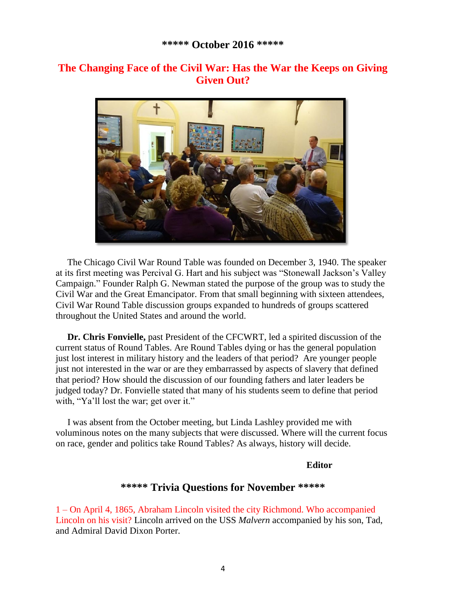## **The Changing Face of the Civil War: Has the War the Keeps on Giving Given Out?**



 The Chicago Civil War Round Table was founded on December 3, 1940. The speaker at its first meeting was Percival G. Hart and his subject was "Stonewall Jackson's Valley Campaign." Founder Ralph G. Newman stated the purpose of the group was to study the Civil War and the Great Emancipator. From that small beginning with sixteen attendees, Civil War Round Table discussion groups expanded to hundreds of groups scattered throughout the United States and around the world.

 **Dr. Chris Fonvielle,** past President of the CFCWRT, led a spirited discussion of the current status of Round Tables. Are Round Tables dying or has the general population just lost interest in military history and the leaders of that period? Are younger people just not interested in the war or are they embarrassed by aspects of slavery that defined that period? How should the discussion of our founding fathers and later leaders be judged today? Dr. Fonvielle stated that many of his students seem to define that period with, "Ya'll lost the war; get over it."

 I was absent from the October meeting, but Linda Lashley provided me with voluminous notes on the many subjects that were discussed. Where will the current focus on race, gender and politics take Round Tables? As always, history will decide.

#### **Editor**

#### **\*\*\*\*\* Trivia Questions for November \*\*\*\*\***

1 – On April 4, 1865, Abraham Lincoln visited the city Richmond. Who accompanied Lincoln on his visit? Lincoln arrived on the USS *Malvern* accompanied by his son, Tad, and Admiral David Dixon Porter.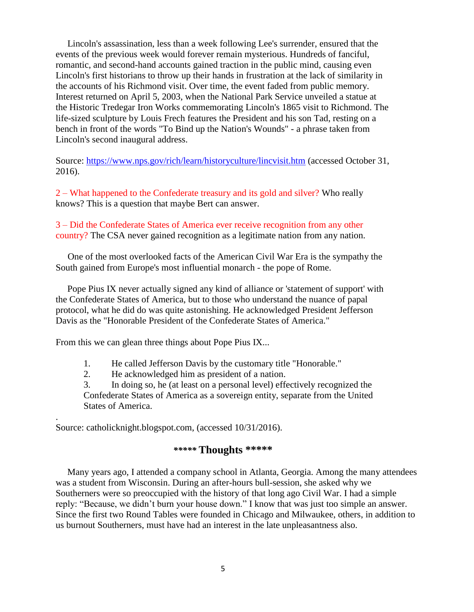Lincoln's assassination, less than a week following Lee's surrender, ensured that the events of the previous week would forever remain mysterious. Hundreds of fanciful, romantic, and second-hand accounts gained traction in the public mind, causing even Lincoln's first historians to throw up their hands in frustration at the lack of similarity in the accounts of his Richmond visit. Over time, the event faded from public memory. Interest returned on April 5, 2003, when the National Park Service unveiled a statue at the Historic Tredegar Iron Works commemorating Lincoln's 1865 visit to Richmond. The life-sized sculpture by Louis Frech features the President and his son Tad, resting on a bench in front of the words "To Bind up the Nation's Wounds" - a phrase taken from Lincoln's second inaugural address.

Source:<https://www.nps.gov/rich/learn/historyculture/lincvisit.htm> (accessed October 31, 2016).

2 – What happened to the Confederate treasury and its gold and silver? Who really knows? This is a question that maybe Bert can answer.

#### 3 – Did the Confederate States of America ever receive recognition from any other country? The CSA never gained recognition as a legitimate nation from any nation.

 One of the most overlooked facts of the American Civil War Era is the sympathy the South gained from Europe's most influential monarch - the pope of Rome.

 Pope Pius IX never actually signed any kind of alliance or 'statement of support' with the Confederate States of America, but to those who understand the nuance of papal protocol, what he did do was quite astonishing. He acknowledged President Jefferson Davis as the "Honorable President of the Confederate States of America."

From this we can glean three things about Pope Pius IX...

- 1. He called Jefferson Davis by the customary title "Honorable."
- 2. He acknowledged him as president of a nation.

3. In doing so, he (at least on a personal level) effectively recognized the Confederate States of America as a sovereign entity, separate from the United States of America.

Source: catholicknight.blogspot.com, (accessed 10/31/2016).

.

#### *\*\*\*\*\** **Thoughts \*\*\*\*\***

 Many years ago, I attended a company school in Atlanta, Georgia. Among the many attendees was a student from Wisconsin. During an after-hours bull-session, she asked why we Southerners were so preoccupied with the history of that long ago Civil War. I had a simple reply: "Because, we didn't burn your house down." I know that was just too simple an answer. Since the first two Round Tables were founded in Chicago and Milwaukee, others, in addition to us burnout Southerners, must have had an interest in the late unpleasantness also.